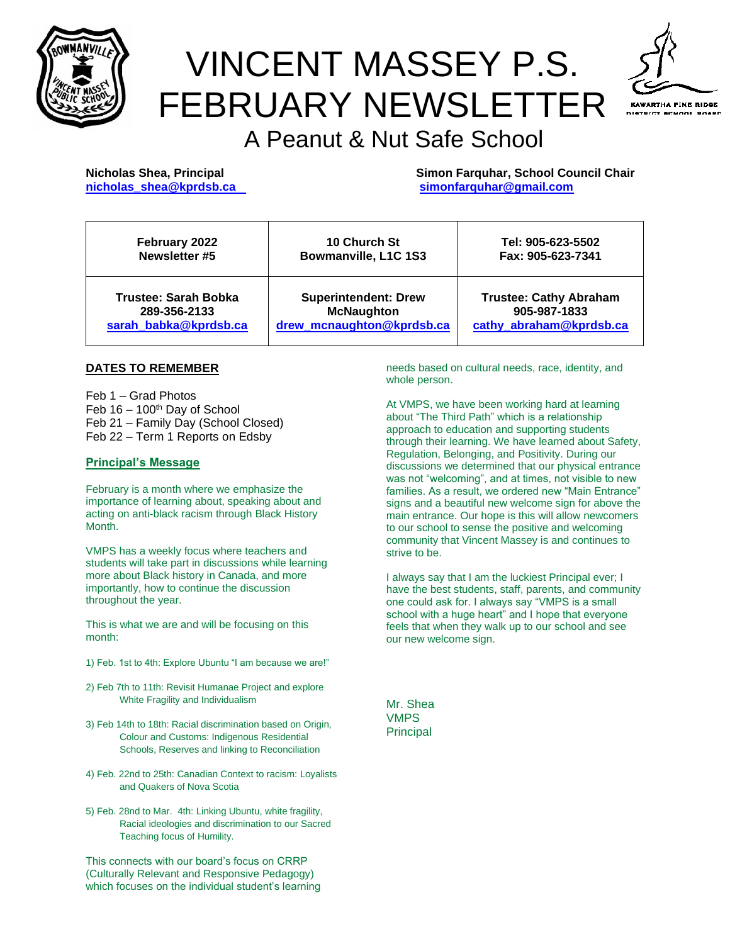

# VINCENT MASSEY P.S. FEBRUARY NEWSLETTER



# A Peanut & Nut Safe School

**Nicholas Shea, Principal Simon Farquhar, School Council Chair [nicholas\\_shea@kprdsb.ca](mailto:nicholas_shea@kprdsb.ca) [simonfarquhar@gmail.com](mailto:simonfarquhar@gmail.com)**

| February 2022         | <b>10 Church St</b>         | Tel: 905-623-5502             |
|-----------------------|-----------------------------|-------------------------------|
| Newsletter #5         | Bowmanville, L1C 1S3        | Fax: 905-623-7341             |
| Trustee: Sarah Bobka  | <b>Superintendent: Drew</b> | <b>Trustee: Cathy Abraham</b> |
| 289-356-2133          | <b>McNaughton</b>           | 905-987-1833                  |
| sarah babka@kprdsb.ca | drew mcnaughton@kprdsb.ca   | cathy abraham@kprdsb.ca       |

#### **DATES TO REMEMBER**

Feb 1 – Grad Photos Feb  $16 - 100$ <sup>th</sup> Day of School Feb 21 – Family Day (School Closed) Feb 22 – Term 1 Reports on Edsby

#### **Principal's Message**

February is a month where we emphasize the importance of learning about, speaking about and acting on anti-black racism through Black History Month.

VMPS has a weekly focus where teachers and students will take part in discussions while learning more about Black history in Canada, and more importantly, how to continue the discussion throughout the year.

This is what we are and will be focusing on this month:

- 1) Feb. 1st to 4th: Explore Ubuntu "I am because we are!"
- 2) Feb 7th to 11th: Revisit Humanae Project and explore White Fragility and Individualism
- 3) Feb 14th to 18th: Racial discrimination based on Origin, Colour and Customs: Indigenous Residential Schools, Reserves and linking to Reconciliation
- 4) Feb. 22nd to 25th: Canadian Context to racism: Loyalists and Quakers of Nova Scotia
- 5) Feb. 28nd to Mar. 4th: Linking Ubuntu, white fragility, Racial ideologies and discrimination to our Sacred Teaching focus of Humility.

This connects with our board's focus on CRRP (Culturally Relevant and Responsive Pedagogy) which focuses on the individual student's learning needs based on cultural needs, race, identity, and whole person.

At VMPS, we have been working hard at learning about "The Third Path" which is a relationship approach to education and supporting students through their learning. We have learned about Safety, Regulation, Belonging, and Positivity. During our discussions we determined that our physical entrance was not "welcoming", and at times, not visible to new families. As a result, we ordered new "Main Entrance" signs and a beautiful new welcome sign for above the main entrance. Our hope is this will allow newcomers to our school to sense the positive and welcoming community that Vincent Massey is and continues to strive to be.

I always say that I am the luckiest Principal ever; I have the best students, staff, parents, and community one could ask for. I always say "VMPS is a small school with a huge heart" and I hope that everyone feels that when they walk up to our school and see our new welcome sign.

Mr. Shea VMPS Principal